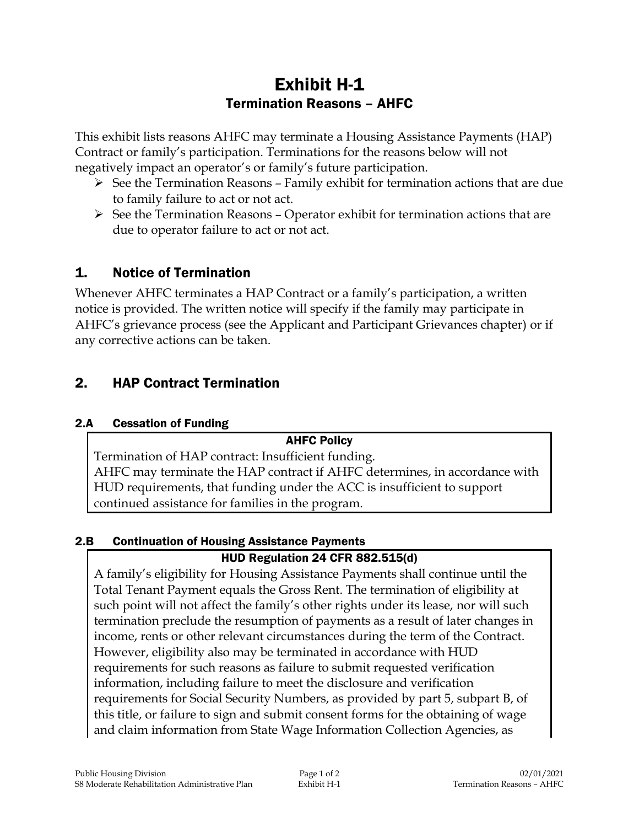# Exhibit H-1 Termination Reasons – AHFC

This exhibit lists reasons AHFC may terminate a Housing Assistance Payments (HAP) Contract or family's participation. Terminations for the reasons below will not negatively impact an operator's or family's future participation.

- $\triangleright$  See the Termination Reasons Family exhibit for termination actions that are due to family failure to act or not act.
- $\triangleright$  See the Termination Reasons Operator exhibit for termination actions that are due to operator failure to act or not act.

## 1. Notice of Termination

Whenever AHFC terminates a HAP Contract or a family's participation, a written notice is provided. The written notice will specify if the family may participate in AHFC's grievance process (see the Applicant and Participant Grievances chapter) or if any corrective actions can be taken.

# 2. HAP Contract Termination

#### 2.A Cessation of Funding

#### AHFC Policy

Termination of HAP contract: Insufficient funding. AHFC may terminate the HAP contract if AHFC determines, in accordance with HUD requirements, that funding under the ACC is insufficient to support continued assistance for families in the program.

#### 2.B Continuation of Housing Assistance Payments

### HUD Regulation 24 CFR 882.515(d)

A family's eligibility for Housing Assistance Payments shall continue until the Total Tenant Payment equals the Gross Rent. The termination of eligibility at such point will not affect the family's other rights under its lease, nor will such termination preclude the resumption of payments as a result of later changes in income, rents or other relevant circumstances during the term of the Contract. However, eligibility also may be terminated in accordance with HUD requirements for such reasons as failure to submit requested verification information, including failure to meet the disclosure and verification requirements for Social Security Numbers, as provided by part 5, subpart B, of this title, or failure to sign and submit consent forms for the obtaining of wage and claim information from State Wage Information Collection Agencies, as